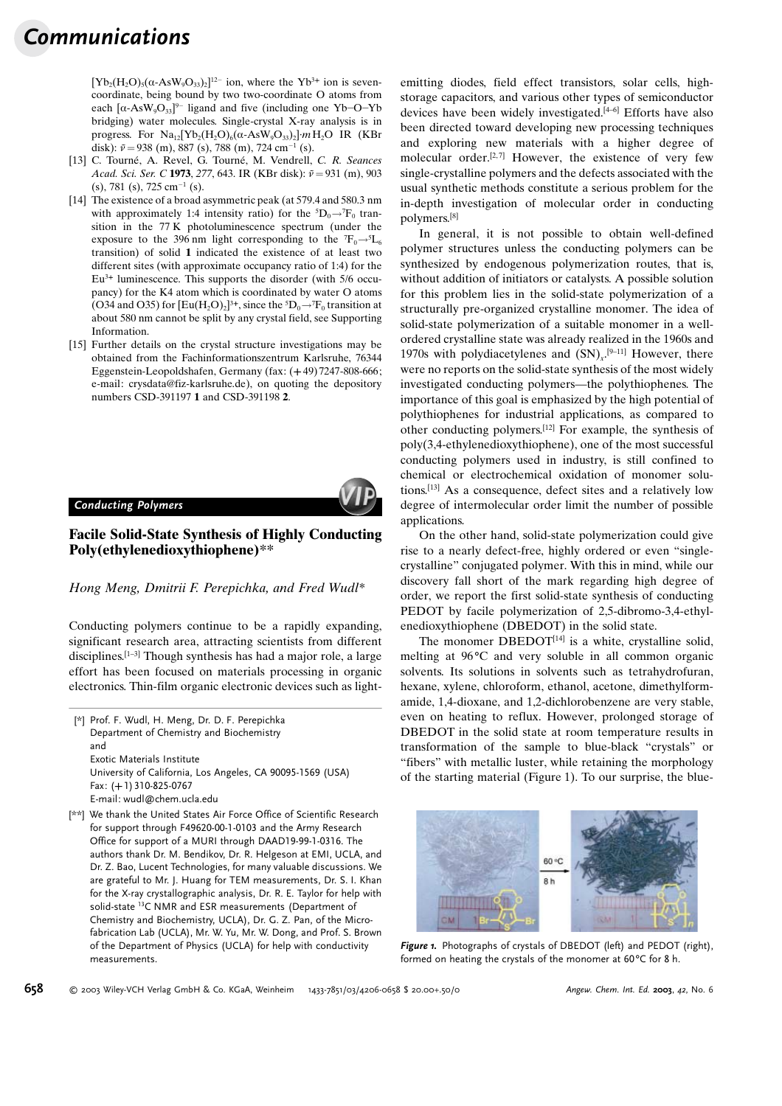# Communications

 $[Yb_2(H_2O)_5(\alpha-AsW_9O_{33})_2]^{12}$  ion, where the Yb<sup>3+</sup> ion is sevencoordinate, being bound by two two-coordinate O atoms from each  $[\alpha$ -AsW<sub>9</sub>O<sub>33</sub><sup>9-</sup> ligand and five (including one Yb-O-Yb bridging) water molecules. Single-crystal X-ray analysis is in progress. For  $Na_{12}[Yb_2(H_2O)_6(\alpha-AsW_9O_{33})_2]$  mH<sub>2</sub>O IR (KBr disk):  $\tilde{v} = 938$  (m), 887 (s), 788 (m), 724 cm<sup>-1</sup> (s).

- [13] C. Tourné, A. Revel, G. Tourné, M. Vendrell, C. R. Seances Acad. Sci. Ser. C 1973, 277, 643. IR (KBr disk):  $\tilde{v} = 931$  (m), 903  $(s)$ , 781 (s), 725 cm<sup>-1</sup> (s).
- [14] The existence of a broad asymmetric peak (at 579.4 and 580.3 nm with approximately 1:4 intensity ratio) for the  ${}^5D_0 \rightarrow {}^7F_0$  transition in the 77 K photoluminescence spectrum (under the exposure to the 396 nm light corresponding to the  ${}^{7}F_{0} \rightarrow {}^{5}L_{6}$ transition) of solid 1 indicated the existence of at least two different sites (with approximate occupancy ratio of 1:4) for the Eu3<sup>+</sup> luminescence. This supports the disorder (with 5/6 occupancy) for the K4 atom which is coordinated by water O atoms (O34 and O35) for  $[Eu(H_2O)_2]^{3+}$ , since the  ${}^5D_0 \rightarrow {}^7F_0$  transition at about 580 nm cannot be split by any crystal field, see Supporting Information.
- [15] Further details on the crystal structure investigations may be obtained from the Fachinformationszentrum Karlsruhe, 76344 Eggenstein-Leopoldshafen, Germany (fax: (+ 49) 7247-808-666; e-mail: crysdata@fiz-karlsruhe.de), on quoting the depository numbers CSD-391197 1 and CSD-391198 2.

Conducting Polymers

measurements.

# Facile Solid-State Synthesis of Highly Conducting Poly(ethylenedioxythiophene)\*\*

### Hong Meng, Dmitrii F. Perepichka, and Fred Wudl\*

Conducting polymers continue to be a rapidly expanding, significant research area, attracting scientists from different disciplines.<sup>[1-3]</sup> Though synthesis has had a major role, a large effort has been focused on materials processing in organic electronics. Thin-film organic electronic devices such as light-

[\*] Prof. F. Wudl, H. Meng, Dr. D. F. Perepichka Department of Chemistry and Biochemistry and Exotic Materials Institute University of California, Los Angeles, CA 90095-1569 (USA) Fax: (+1) 310-825-0767

E-mail: wudl@chem.ucla.edu [\*\*] We thank the United States Air Force Office of Scientific Research for support through F49620-00-1-0103 and the Army Research Office for support of a MURI through DAAD19-99-1-0316. The authors thank Dr. M. Bendikov, Dr. R. Helgeson at EMI, UCLA, and Dr. Z. Bao, Lucent Technologies, for many valuable discussions. We are grateful to Mr. J. Huang for TEM measurements, Dr. S. I. Khan for the X-ray crystallographic analysis, Dr. R. E. Taylor for help with solid-state 13C NMR and ESR measurements (Department of Chemistry and Biochemistry, UCLA), Dr. G. Z. Pan, of the Microemitting diodes, field effect transistors, solar cells, highstorage capacitors, and various other types of semiconductor devices have been widely investigated.<sup>[4-6]</sup> Efforts have also been directed toward developing new processing techniques and exploring new materials with a higher degree of molecular order.<sup>[2,7]</sup> However, the existence of very few single-crystalline polymers and the defects associated with the usual synthetic methods constitute a serious problem for the in-depth investigation of molecular order in conducting polymers.[8]

In general, it is not possible to obtain well-defined polymer structures unless the conducting polymers can be synthesized by endogenous polymerization routes, that is, without addition of initiators or catalysts. A possible solution for this problem lies in the solid-state polymerization of a structurally pre-organized crystalline monomer. The idea of solid-state polymerization of a suitable monomer in a wellordered crystalline state was already realized in the 1960s and 1970s with polydiacetylenes and  $(SN)_{x}$ <sup>[9-11]</sup> However, there were no reports on the solid-state synthesis of the most widely investigated conducting polymers–the polythiophenes. The importance of this goal is emphasized by the high potential of polythiophenes for industrial applications, as compared to other conducting polymers.[12] For example, the synthesis of poly(3,4-ethylenedioxythiophene), one of the most successful conducting polymers used in industry, is still confined to chemical or electrochemical oxidation of monomer solutions.[13] As a consequence, defect sites and a relatively low degree of intermolecular order limit the number of possible applications.

On the other hand, solid-state polymerization could give rise to a nearly defect-free, highly ordered or even ™singlecrystalline∫ conjugated polymer. With this in mind, while our discovery fall short of the mark regarding high degree of order, we report the first solid-state synthesis of conducting PEDOT by facile polymerization of 2,5-dibromo-3,4-ethylenedioxythiophene (DBEDOT) in the solid state.

The monomer  $DBEDOT^{[14]}$  is a white, crystalline solid, melting at  $96^{\circ}$ C and very soluble in all common organic solvents. Its solutions in solvents such as tetrahydrofuran, hexane, xylene, chloroform, ethanol, acetone, dimethylformamide, 1,4-dioxane, and 1,2-dichlorobenzene are very stable, even on heating to reflux. However, prolonged storage of DBEDOT in the solid state at room temperature results in transformation of the sample to blue-black "crystals" or ™fibers∫ with metallic luster, while retaining the morphology of the starting material (Figure 1). To our surprise, the blue-



Figure 1. Photographs of crystals of DBEDOT (left) and PEDOT (right), formed on heating the crystals of the monomer at 60 °C for 8 h.

fabrication Lab (UCLA), Mr. W. Yu, Mr. W. Dong, and Prof. S. Brown of the Department of Physics (UCLA) for help with conductivity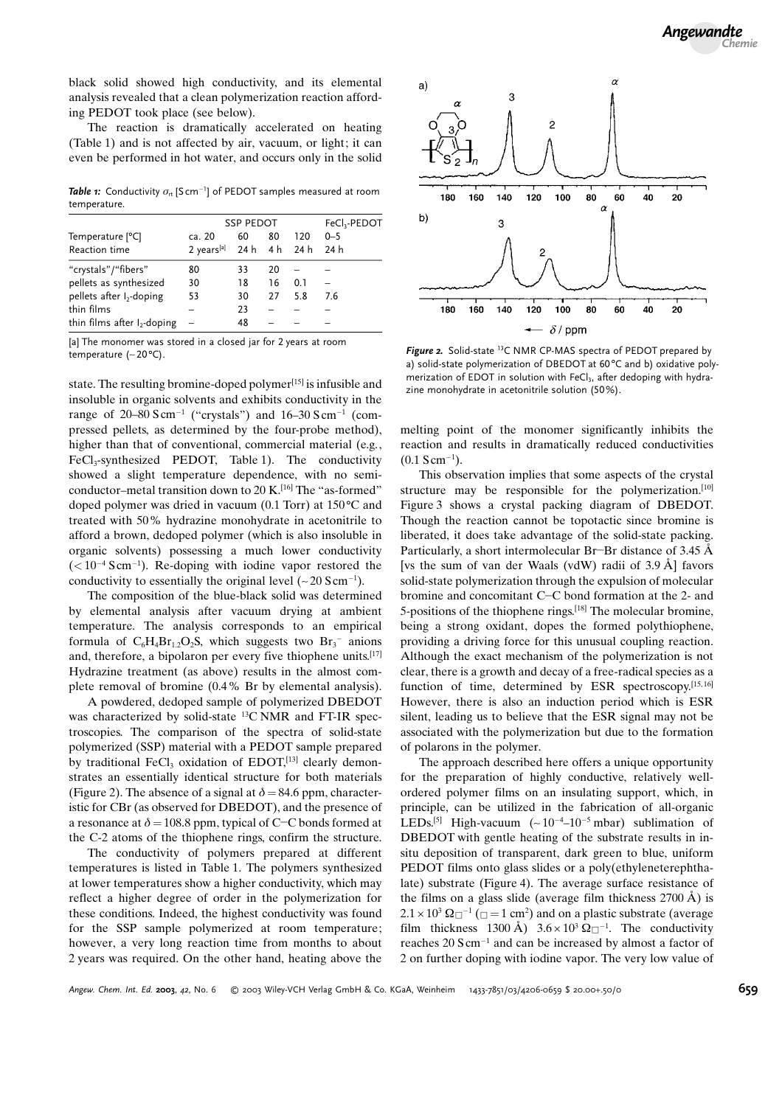black solid showed high conductivity, and its elemental analysis revealed that a clean polymerization reaction affording PEDOT took place (see below).

The reaction is dramatically accelerated on heating (Table 1) and is not affected by air, vacuum, or light; it can even be performed in hot water, and occurs only in the solid

**Table 1:** Conductivity  $\sigma_{\scriptscriptstyle{\text{rt}}}$  [S cm<sup>-1</sup>] of PEDOT samples measured at room temperature.

| Temperature [ <sup>o</sup> C]<br>Reaction time                                       | <b>SSP PEDOT</b>                                |                |          |     | FeCl <sub>3</sub> -PEDOT |
|--------------------------------------------------------------------------------------|-------------------------------------------------|----------------|----------|-----|--------------------------|
|                                                                                      | ca. 20<br>$2 \text{ years}^{[a]}$ 24 h 4 h 24 h | 60             | 80       | 120 | $0 - 5$<br>24 h          |
| "crystals"/"fibers"<br>pellets as synthesized                                        | 80<br>30                                        | 33<br>18       | 20<br>16 | 0.1 |                          |
| pellets after I <sub>2</sub> -doping<br>thin films<br>thin films after $I_2$ -doping | 53                                              | 30<br>23<br>48 | 27       | 5.8 | 7.6                      |

[a] The monomer was stored in a closed jar for 2 years at room temperature  $(-20^{\circ}C)$ .<br>
Figure 2. Solid-state <sup>13</sup>C NMR CP-MAS spectra of PEDOT prepared by

state. The resulting bromine-doped polymer<sup>[15]</sup> is infusible and insoluble in organic solvents and exhibits conductivity in the range of 20-80 S cm<sup>-1</sup> ("crystals") and  $16-30$  S cm<sup>-1</sup> (compressed pellets, as determined by the four-probe method), higher than that of conventional, commercial material (e.g.,  $FeCl<sub>3</sub>-synthesized$  PEDOT, Table 1). The conductivity showed a slight temperature dependence, with no semiconductor-metal transition down to 20 K.<sup>[16]</sup> The "as-formed" doped polymer was dried in vacuum  $(0.1$  Torr) at  $150^{\circ}$ C and treated with 50% hydrazine monohydrate in acetonitrile to afford a brown, dedoped polymer (which is also insoluble in organic solvents) possessing a much lower conductivity  $(< 10^{-4}$  Scm<sup>-1</sup>). Re-doping with iodine vapor restored the conductivity to essentially the original level  $(-20 \text{ S cm}^{-1})$ .

The composition of the blue-black solid was determined by elemental analysis after vacuum drying at ambient temperature. The analysis corresponds to an empirical formula of  $C_6H_4Br_{1,2}O_2S$ , which suggests two  $Br_3^-$  anions and, therefore, a bipolaron per every five thiophene units.[17] Hydrazine treatment (as above) results in the almost complete removal of bromine (0.4% Br by elemental analysis).

A powdered, dedoped sample of polymerized DBEDOT was characterized by solid-state 13C NMR and FT-IR spectroscopies. The comparison of the spectra of solid-state polymerized (SSP) material with a PEDOT sample prepared by traditional FeCl<sub>3</sub> oxidation of EDOT,<sup>[13]</sup> clearly demonstrates an essentially identical structure for both materials (Figure 2). The absence of a signal at  $\delta = 84.6$  ppm, characteristic for CBr (as observed for DBEDOT), and the presence of a resonance at  $\delta = 108.8$  ppm, typical of C-C bonds formed at the C-2 atoms of the thiophene rings, confirm the structure.

The conductivity of polymers prepared at different temperatures is listed in Table 1. The polymers synthesized at lower temperatures show a higher conductivity, which may reflect a higher degree of order in the polymerization for these conditions. Indeed, the highest conductivity was found for the SSP sample polymerized at room temperature; however, a very long reaction time from months to about 2 years was required. On the other hand, heating above the



a) solid-state polymerization of DBEDOT at 60°C and b) oxidative polymerization of EDOT in solution with FeCl $_3$ , after dedoping with hydrazine monohydrate in acetonitrile solution (50%).

melting point of the monomer significantly inhibits the reaction and results in dramatically reduced conductivities  $(0.1 \text{ S cm}^{-1}).$ 

This observation implies that some aspects of the crystal structure may be responsible for the polymerization.<sup>[10]</sup> Figure 3 shows a crystal packing diagram of DBEDOT. Though the reaction cannot be topotactic since bromine is liberated, it does take advantage of the solid-state packing. Particularly, a short intermolecular Br-Br distance of  $3.45 \text{ Å}$ [vs the sum of van der Waals (vdW) radii of  $3.9 \text{ Å}$ ] favors solid-state polymerization through the expulsion of molecular bromine and concomitant C-C bond formation at the 2- and 5-positions of the thiophene rings.[18] The molecular bromine, being a strong oxidant, dopes the formed polythiophene, providing a driving force for this unusual coupling reaction. Although the exact mechanism of the polymerization is not clear, there is a growth and decay of a free-radical species as a function of time, determined by ESR spectroscopy. $[15, 16]$ However, there is also an induction period which is ESR silent, leading us to believe that the ESR signal may not be associated with the polymerization but due to the formation of polarons in the polymer.

The approach described here offers a unique opportunity for the preparation of highly conductive, relatively wellordered polymer films on an insulating support, which, in principle, can be utilized in the fabrication of all-organic LEDs.<sup>[5]</sup> High-vacuum  $(-10^{-4}-10^{-5}$  mbar) sublimation of DBEDOT with gentle heating of the substrate results in insitu deposition of transparent, dark green to blue, uniform PEDOT films onto glass slides or a poly(ethyleneterephthalate) substrate (Figure 4). The average surface resistance of the films on a glass slide (average film thickness  $2700 \text{ Å}$ ) is  $2.1 \times 10^3 \,\Omega$   $^{-1}$  ( $\Box$  = 1 cm<sup>2</sup>) and on a plastic substrate (average film thickness 1300 Å)  $3.6 \times 10^3 \Omega$ <sup>-1</sup>. The conductivity reaches  $20 \text{ S cm}^{-1}$  and can be increased by almost a factor of 2 on further doping with iodine vapor. The very low value of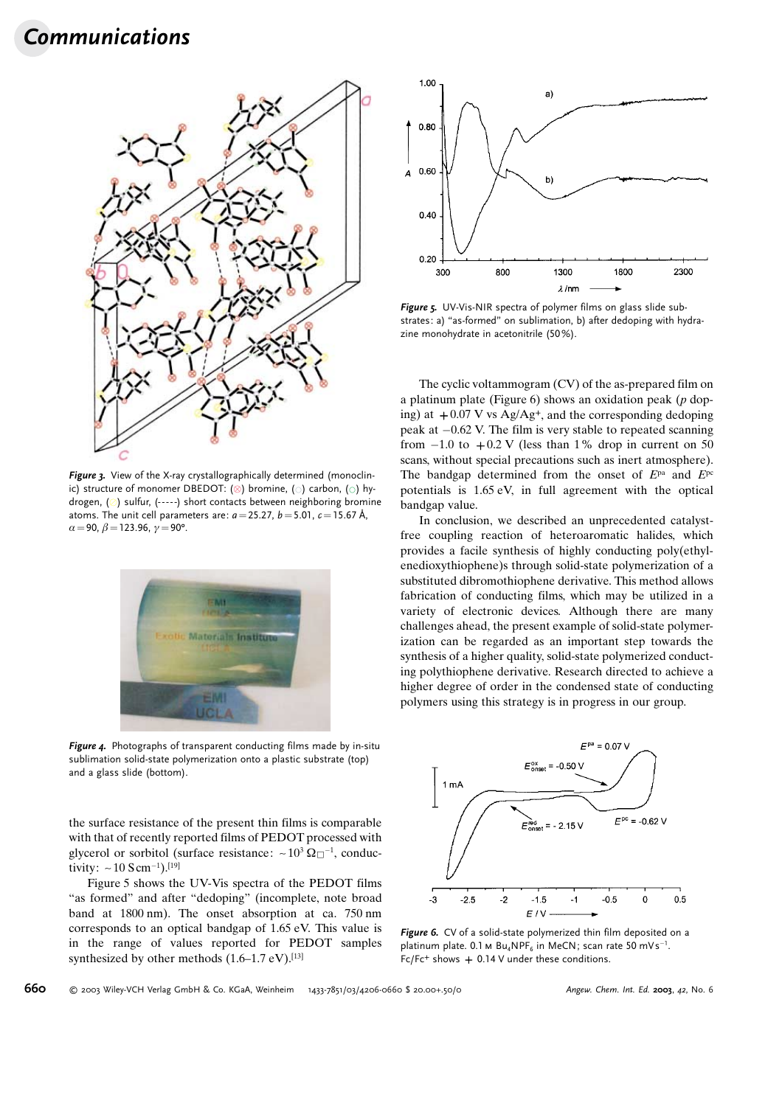# Communications



Figure 3. View of the X-ray crystallographically determined (monoclinic) structure of monomer DBEDOT: ( $\otimes$ ) bromine, ( $\circ$ ) carbon, ( $\circ$ ) hydrogen,  $(\circ)$  sulfur, (-----) short contacts between neighboring bromine atoms. The unit cell parameters are:  $a=25.27$ ,  $b=5.01$ ,  $c=15.67$  Å,  $\alpha = 90, \beta = 123.96, \gamma = 90^{\circ}.$ 



Figure 4. Photographs of transparent conducting films made by in-situ sublimation solid-state polymerization onto a plastic substrate (top) and a glass slide (bottom).

the surface resistance of the present thin films is comparable with that of recently reported films of PEDOT processed with glycerol or sorbitol (surface resistance:  $\sim 10^3 \,\Omega_{\square}^{-1}$ , conductivity:  $\sim 10$  S cm<sup>-1</sup>).<sup>[19]</sup>

Figure 5 shows the UV-Vis spectra of the PEDOT films ™as formed∫ and after ™dedoping∫ (incomplete, note broad band at 1800 nm). The onset absorption at ca. 750 nm corresponds to an optical bandgap of 1.65 eV. This value is in the range of values reported for PEDOT samples synthesized by other methods  $(1.6-1.7 \text{ eV})$ .<sup>[13]</sup>



Figure 5. UV-Vis-NIR spectra of polymer films on glass slide substrates: a) "as-formed" on sublimation, b) after dedoping with hydrazine monohydrate in acetonitrile (50%).

The cyclic voltammogram (CV) of the as-prepared film on a platinum plate (Figure 6) shows an oxidation peak  $(p \text{ dop-}$ ing) at  $+0.07$  V vs Ag/Ag<sup>+</sup>, and the corresponding dedoping peak at  $-0.62$  V. The film is very stable to repeated scanning from  $-1.0$  to  $+ 0.2$  V (less than 1% drop in current on 50 scans, without special precautions such as inert atmosphere). The bandgap determined from the onset of  $E^{pa}$  and  $E^{pc}$ potentials is 1.65 eV, in full agreement with the optical bandgap value.

In conclusion, we described an unprecedented catalystfree coupling reaction of heteroaromatic halides, which provides a facile synthesis of highly conducting poly(ethylenedioxythiophene)s through solid-state polymerization of a substituted dibromothiophene derivative. This method allows fabrication of conducting films, which may be utilized in a variety of electronic devices. Although there are many challenges ahead, the present example of solid-state polymerization can be regarded as an important step towards the synthesis of a higher quality, solid-state polymerized conducting polythiophene derivative. Research directed to achieve a higher degree of order in the condensed state of conducting polymers using this strategy is in progress in our group.



Figure 6. CV of a solid-state polymerized thin film deposited on a platinum plate.  $0.1 \text{ m } \text{Bu}_4\text{NPF}_6$  in MeCN; scan rate 50 mVs<sup>-1</sup>.  $Fc/Fc^+$  shows  $+0.14$  V under these conditions.